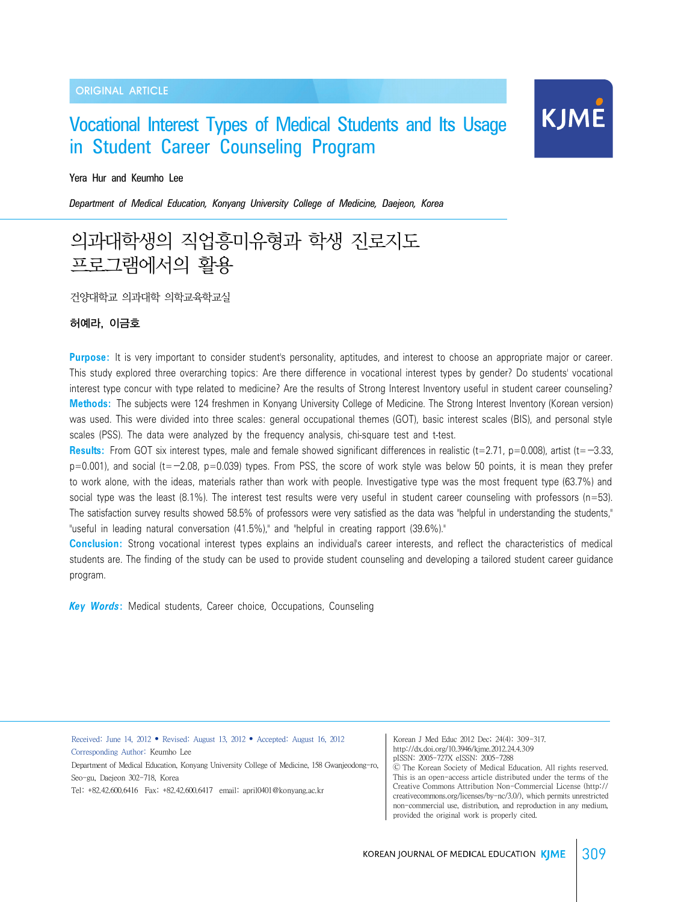### ORIGINAL ARTICLE

# Vocational Interest Types of Medical Students and Its Usage in Student Career Counseling Program

#### Yera Hur and Keumho Lee

*Department of Medical Education, Konyang University College of Medicine, Daejeon, Korea*

# 의과대학생의 직업흥미유형과 학생 진로지도 프로그램에서의 활용

건양대학교 의과대학 의학교육학교실

### 허예라, 이금호

**Purpose:** It is very important to consider student's personality, aptitudes, and interest to choose an appropriate major or career. This study explored three overarching topics: Are there difference in vocational interest types by gender? Do students' vocational interest type concur with type related to medicine? Are the results of Strong Interest Inventory useful in student career counseling? **Methods:** The subjects were 124 freshmen in Konyang University College of Medicine. The Strong Interest Inventory (Korean version) was used. This were divided into three scales: general occupational themes (GOT), basic interest scales (BIS), and personal style scales (PSS). The data were analyzed by the frequency analysis, chi-square test and t-test.

Results: From GOT six interest types, male and female showed significant differences in realistic (t=2.71, p=0.008), artist (t=-3.33,  $p=0.001$ ), and social (t= $-2.08$ ,  $p=0.039$ ) types. From PSS, the score of work style was below 50 points, it is mean they prefer to work alone, with the ideas, materials rather than work with people. Investigative type was the most frequent type (63.7%) and social type was the least (8.1%). The interest test results were very useful in student career counseling with professors (n=53). The satisfaction survey results showed 58.5% of professors were very satisfied as the data was "helpful in understanding the students," "useful in leading natural conversation (41.5%)," and "helpful in creating rapport (39.6%)."

**Conclusion:** Strong vocational interest types explains an individual's career interests, and reflect the characteristics of medical students are. The finding of the study can be used to provide student counseling and developing a tailored student career guidance program.

*Key Words***:** Medical students, Career choice, Occupations, Counseling

Received: June 14, 2012 • Revised: August 13, 2012 • Accepted: August 16, 2012 Corresponding Author: Keumho Lee

Department of Medical Education, Konyang University College of Medicine, 158 Gwanjeodong-ro, Seo-gu, Daejeon 302-718, Korea

Tel: +82.42.600.6416 Fax: +82.42.600.6417 email: april0401@konyang.ac.kr

Korean J Med Educ 2012 Dec; 24(4): 309-317. http://dx.doi.org/10.3946/kjme.2012.24.4.309 pISSN: 2005-727X eISSN: 2005-7288

Ⓒ The Korean Society of Medical Education. All rights reserved. This is an open-access article distributed under the terms of the Creative Commons Attribution Non-Commercial License (http:// creativecommons.org/licenses/by-nc/3.0/), which permits unrestricted non-commercial use, distribution, and reproduction in any medium, provided the original work is properly cited.

**KJME**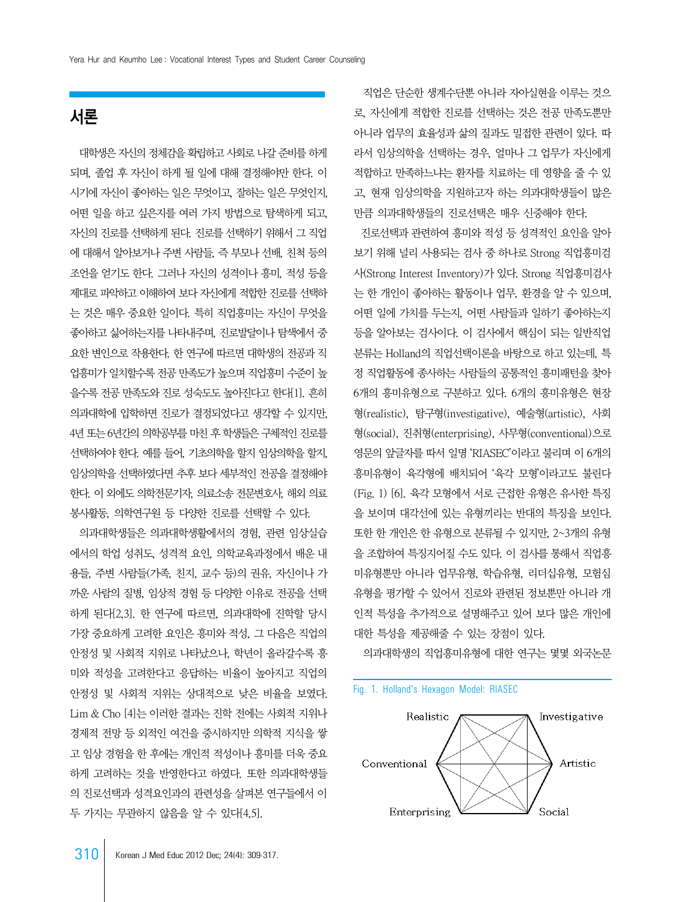# 서론

 대학생은 자신의 정체감을 확립하고 사회로 나갈 준비를 하게 되며, 졸업 후 자신이 하게 될 일에 대해 결정해야만 한다. 이 시기에 자신이 좋아하는 일은 무엇이고, 잘하는 일은 무엇인지, 어떤 일을 하고 싶은지를 여러 가지 방법으로 탐색하게 되고, 자신의 진로를 선택하게 된다. 진로를 선택하기 위해서 그 직업 에 대해서 알아보거나 주변 사람들, 즉 부모나 선배, 친척 등의 조언을 얻기도 한다. 그러나 자신의 성격이나 흥미, 적성 등을 제대로 파악하고 이해하여 보다 자신에게 적합한 진로를 선택하 는 것은 매우 중요한 일이다. 특히 직업흥미는 자신이 무엇을 좋아하고 싫어하는지를 나타내주며, 진로발달이나 탐색에서 중 요한 변인으로 작용한다. 한 연구에 따르면 대학생의 전공과 직 업흥미가 일치할수록 전공 만족도가 높으며 직업흥미 수준이 높 을수록 전공 만족도와 진로 성숙도도 높아진다고 한다[1]. 흔히 의과대학에 입학하면 진로가 결정되었다고 생각할 수 있지만, 4년 또는 6년간의 의학공부를 마친 후 학생들은 구체적인 진로를 선택하여야 한다. 예를 들어, 기초의학을 할지 임상의학을 할지, 임상의학을 선택하였다면 추후 보다 세부적인 전공을 결정해야 한다. 이 외에도 의학전문기자, 의료소송 전문변호사, 해외 의료 봉사활동, 의학연구원 등 다양한 진로를 선택할 수 있다.

 의과대학생들은 의과대학생활에서의 경험, 관련 임상실습 에서의 학업 성취도, 성격적 요인, 의학교육과정에서 배운 내 용들, 주변 사람들(가족, 친지, 교수 등)의 권유, 자신이나 가 까운 사람의 질병, 임상적 경험 등 다양한 이유로 전공을 선택 하게 된다[2,3]. 한 연구에 따르면, 의과대학에 진학할 당시 가장 중요하게 고려한 요인은 흥미와 적성, 그 다음은 직업의 안정성 및 사회적 지위로 나타났으나, 학년이 올라갈수록 흥 미와 적성을 고려한다고 응답하는 비율이 높아지고 직업의 안정성 및 사회적 지위는 상대적으로 낮은 비율을 보였다. Lim & Cho [4]는 이러한 결과는 진학 전에는 사회적 지위나 경제적 전망 등 외적인 여건을 중시하지만 의학적 지식을 쌓 고 임상 경험을 한 후에는 개인적 적성이나 흥미를 더욱 중요 하게 고려하는 것을 반영한다고 하였다. 또한 의과대학생들 의 진로선택과 성격요인과의 관련성을 살펴본 연구들에서 이 두 가지는 무관하지 않음을 알 수 있다[4,5].

 직업은 단순한 생계수단뿐 아니라 자아실현을 이루는 것으 로, 자신에게 적합한 진로를 선택하는 것은 전공 만족도뿐만 아니라 업무의 효율성과 삶의 질과도 밀접한 관련이 있다. 따 라서 임상의학을 선택하는 경우, 얼마나 그 업무가 자신에게 적합하고 만족하느냐는 환자를 치료하는 데 영향을 줄 수 있 고, 현재 임상의학을 지원하고자 하는 의과대학생들이 많은 만큼 의과대학생들의 진로선택은 매우 신중해야 한다.

 진로선택과 관련하여 흥미와 적성 등 성격적인 요인을 알아 보기 위해 널리 사용되는 검사 중 하나로 Strong 직업흥미검 사(Strong Interest Inventory)가 있다. Strong 직업흥미검사 는 한 개인이 좋아하는 활동이나 업무, 환경을 알 수 있으며, 어떤 일에 가치를 두는지, 어떤 사람들과 일하기 좋아하는지 등을 알아보는 검사이다. 이 검사에서 핵심이 되는 일반직업 분류는 Holland의 직업선택이론을 바탕으로 하고 있는데, 특 정 직업활동에 종사하는 사람들의 공통적인 흥미패턴을 찾아 6개의 흥미유형으로 구분하고 있다. 6개의 흥미유형은 현장 형(realistic), 탐구형(investigative), 예술형(artistic), 사회 형(social), 진취형(enterprising), 사무형(conventional)으로 영문의 앞글자를 따서 일명 'RIASEC'이라고 불리며 이 6개의 흥미유형이 육각형에 배치되어 '육각 모형'이라고도 불린다 (Fig. 1) [6]. 육각 모형에서 서로 근접한 유형은 유사한 특징 을 보이며 대각선에 있는 유형끼리는 반대의 특징을 보인다. 또한 한 개인은 한 유형으로 분류될 수 있지만, 2~3개의 유형 을 조합하여 특징지어질 수도 있다. 이 검사를 통해서 직업흥 미유형뿐만 아니라 업무유형, 학습유형, 리더십유형, 모험심 유형을 평가할 수 있어서 진로와 관련된 정보뿐만 아니라 개 인적 특성을 추가적으로 설명해주고 있어 보다 많은 개인에 대한 특성을 제공해줄 수 있는 장점이 있다.

의과대학생의 직업흥미유형에 대한 연구는 몇몇 외국논문

#### Fig. 1. Holland's Hexagon Model: RIASEC

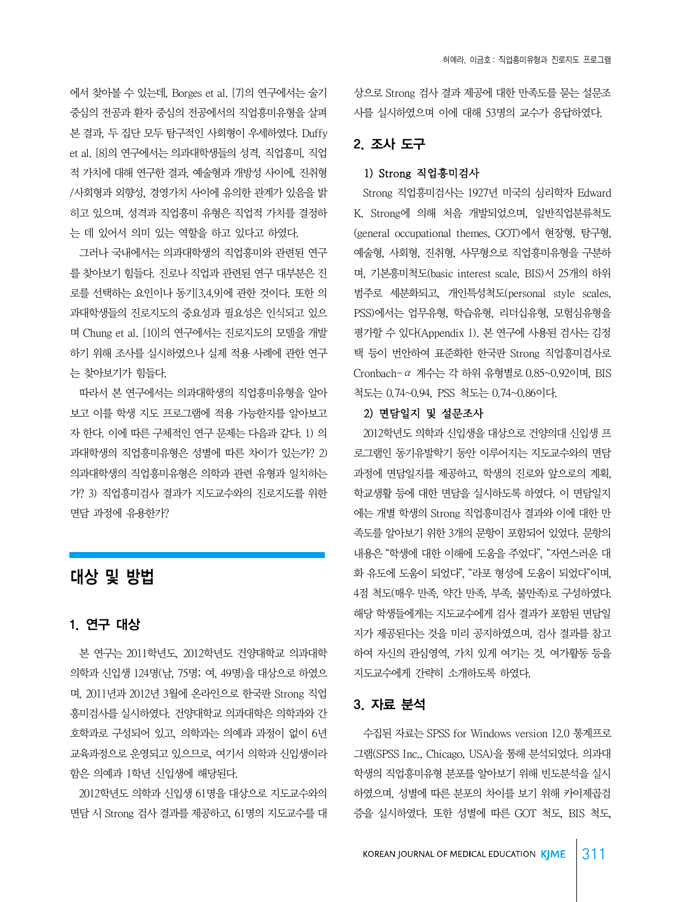에서 찾아볼 수 있는데, Borges et al. [7]의 연구에서는 술기 중심의 전공과 환자 중심의 전공에서의 직업흥미유형을 살펴 본 결과, 두 집단 모두 탐구적인 사회형이 우세하였다. Duffy et al. [8]의 연구에서는 의과대학생들의 성격, 직업흥미, 직업 적 가치에 대해 연구한 결과, 예술형과 개방성 사이에, 진취형 /사회형과 외향성, 경영가치 사이에 유의한 관계가 있음을 밝 히고 있으며, 성격과 직업흥미 유형은 직업적 가치를 결정하 는 데 있어서 의미 있는 역할을 하고 있다고 하였다.

 그러나 국내에서는 의과대학생의 직업흥미와 관련된 연구 를 찾아보기 힘들다. 진로나 직업과 관련된 연구 대부분은 진 로를 선택하는 요인이나 동기[3,4,9]에 관한 것이다. 또한 의 과대학생들의 진로지도의 중요성과 필요성은 인식되고 있으 며 Chung et al. [10]의 연구에서는 진로지도의 모델을 개발 하기 위해 조사를 실시하였으나 실제 적용 사례에 관한 연구 는 찾아보기가 힘들다.

 따라서 본 연구에서는 의과대학생의 직업흥미유형을 알아 보고 이를 학생 지도 프로그램에 적용 가능한지를 알아보고 자 한다. 이에 따른 구체적인 연구 문제는 다음과 같다. 1) 의 과대학생의 직업흥미유형은 성별에 따른 차이가 있는가? 2) 의과대학생의 직업흥미유형은 의학과 관련 유형과 일치하는 가? 3) 직업흥미검사 결과가 지도교수와의 진로지도를 위한 면담 과정에 유용한가?

# 대상 및 방법

# 1. 연구 대상

 본 연구는 2011학년도, 2012학년도 건양대학교 의과대학 의학과 신입생 124명(남, 75명; 여, 49명)을 대상으로 하였으 며, 2011년과 2012년 3월에 온라인으로 한국판 Strong 직업 흥미검사를 실시하였다. 건양대학교 의과대학은 의학과와 간 호학과로 구성되어 있고, 의학과는 의예과 과정이 없이 6년 교육과정으로 운영되고 있으므로, 여기서 의학과 신입생이라 함은 의예과 1학년 신입생에 해당된다.

 2012학년도 의학과 신입생 61명을 대상으로 지도교수와의 면담 시 Strong 검사 결과를 제공하고, 61명의 지도교수를 대 상으로 Strong 검사 결과 제공에 대한 만족도를 묻는 설문조 사를 실시하였으며 이에 대해 53명의 교수가 응답하였다.

# 2. 조사 도구

## 1) Strong 직업흥미검사

 Strong 직업흥미검사는 1927년 미국의 심리학자 Edward K. Strong에 의해 처음 개발되었으며, 일반직업분류척도 (general occupational themes, GOT)에서 현장형, 탐구형, 예술형, 사회형, 진취형, 사무형으로 직업흥미유형을 구분하 며, 기본흥미척도(basic interest scale, BIS)서 25개의 하위 범주로 세분화되고, 개인특성척도(personal style scales, PSS)에서는 업무유형, 학습유형, 리더십유형, 모험심유형을 평가할 수 있다(Appendix 1). 본 연구에 사용된 검사는 김정 택 등이 번안하여 표준화한 한국판 Strong 직업흥미검사로 Cronbach-α 계수는 각 하위 유형별로 0.85~0.92이며, BIS 척도는 0.74~0.94, PSS 척도는 0.74~0.86이다.

### 2) 면담일지 및 설문조사

 2012학년도 의학과 신입생을 대상으로 건양의대 신입생 프 로그램인 동기유발학기 동안 이루어지는 지도교수와의 면담 과정에 면담일지를 제공하고, 학생의 진로와 앞으로의 계획, 학교생활 등에 대한 면담을 실시하도록 하였다. 이 면담일지 에는 개별 학생의 Strong 직업흥미검사 결과와 이에 대한 만 족도를 알아보기 위한 3개의 문항이 포함되어 있었다. 문항의 내용은 "학생에 대한 이해에 도움을 주었다", "자연스러운 대 화 유도에 도움이 되었다", "라포 형성에 도움이 되었다"이며, 4점 척도(매우 만족, 약간 만족, 부족, 불만족)로 구성하였다. 해당 학생들에게는 지도교수에게 검사 결과가 포함된 면담일 지가 제공된다는 것을 미리 공지하였으며, 검사 결과를 참고 하여 자신의 관심영역, 가치 있게 여기는 것, 여가활동 등을 지도교수에게 간략히 소개하도록 하였다.

### 3. 자료 분석

 수집된 자료는 SPSS for Windows version 12.0 통계프로 그램(SPSS Inc., Chicago, USA)을 통해 분석되었다. 의과대 학생의 직업흥미유형 분포를 알아보기 위해 빈도분석을 실시 하였으며, 성별에 따른 분포의 차이를 보기 위해 카이제곱검 증을 실시하였다. 또한 성별에 따른 GOT 척도, BIS 척도,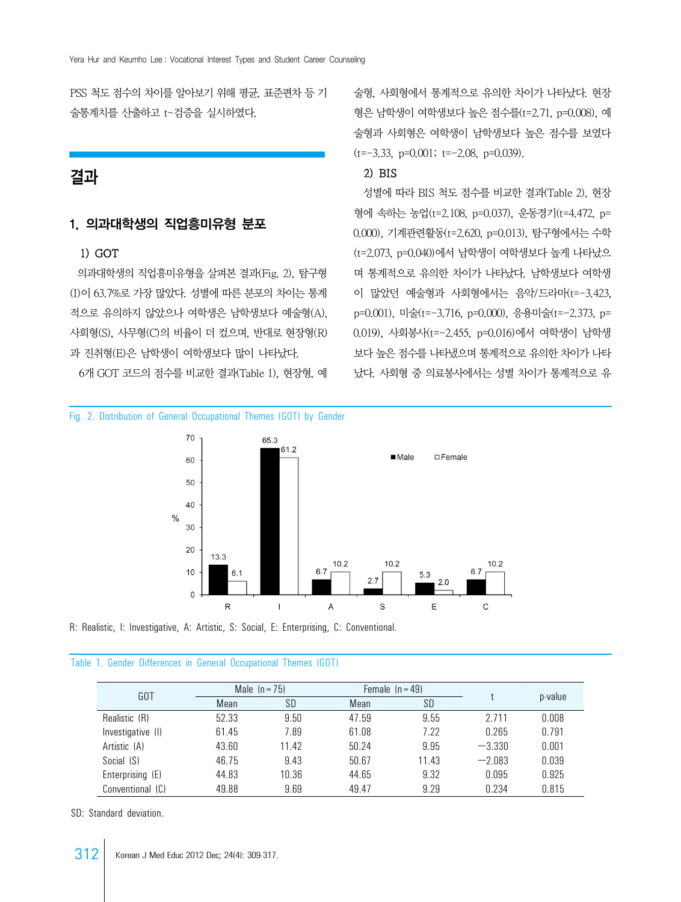PSS 척도 점수의 차이를 알아보기 위해 평균, 표준편차 등 기 술통계치를 산출하고 t-검증을 실시하였다.

# 결과

# 1. 의과대학생의 직업흥미유형 분포

## 1) GOT

 의과대학생의 직업흥미유형을 살펴본 결과(Fig. 2), 탐구형 (I)이 63.7%로 가장 많았다. 성별에 따른 분포의 차이는 통계 적으로 유의하지 않았으나 여학생은 남학생보다 예술형(A), 사회형(S), 사무형(C)의 비율이 더 컸으며, 반대로 현장형(R) 과 진취형(E)은 남학생이 여학생보다 많이 나타났다.

6개 GOT 코드의 점수를 비교한 결과(Table 1), 현장형, 예

Fig. 2. Distribution of General Occupational Themes (GOT) by Gender

술형, 사회형에서 통계적으로 유의한 차이가 나타났다. 현장 형은 남학생이 여학생보다 높은 점수를(t=2.71, p=0.008), 예 술형과 사회형은 여학생이 남학생보다 높은 점수를 보였다  $(t=-3.33, p=0.001; t=-2.08, p=0.039)$ .

## 2) BIS

 성별에 따라 BIS 척도 점수를 비교한 결과(Table 2), 현장 형에 속하는 농업(t=2.108, p=0.037), 운동경기(t=4.472, p= 0.000), 기계관련활동(t=2.620, p=0.013), 탐구형에서는 수학 (t=2.073, p=0.040)에서 남학생이 여학생보다 높게 나타났으 며 통계적으로 유의한 차이가 나타났다. 남학생보다 여학생 이 많았던 예술형과 사회형에서는 음악/드라마(t=-3.423, p=0.001), 미술(t=-3.716, p=0.000), 응용미술(t=-2.373, p= 0.019), 사회봉사(t=-2.455, p=0.016)에서 여학생이 남학생 보다 높은 점수를 나타냈으며 통계적으로 유의한 차이가 나타 났다. 사회형 중 의료봉사에서는 성별 차이가 통계적으로 유



R: Realistic, I: Investigative, A: Artistic, S: Social, E: Enterprising, C: Conventional.

|  |  |  |  |  |  | Table 1. Gender Differences in General Occupational Themes (GOT) |  |  |
|--|--|--|--|--|--|------------------------------------------------------------------|--|--|
|--|--|--|--|--|--|------------------------------------------------------------------|--|--|

| GOT               |       | Male $(n = 75)$ | Female $(n = 49)$ |           |          |         |  |
|-------------------|-------|-----------------|-------------------|-----------|----------|---------|--|
|                   | Mean  | SD              | Mean              | <b>SD</b> |          | p-value |  |
| Realistic (R)     | 52.33 | 9.50            | 47.59             | 9.55      | 2.711    | 0.008   |  |
| Investigative (I) | 61.45 | 7.89            | 61.08             | 7.22      | 0.265    | 0.791   |  |
| Artistic (A)      | 43.60 | 11.42           | 50.24             | 9.95      | $-3.330$ | 0.001   |  |
| Social (S)        | 46.75 | 9.43            | 50.67             | 11.43     | $-2.083$ | 0.039   |  |
| Enterprising (E)  | 44.83 | 10.36           | 44.65             | 9.32      | 0.095    | 0.925   |  |
| Conventional (C)  | 49.88 | 9.69            | 49.47             | 9.29      | 0.234    | 0.815   |  |

SD: Standard deviation.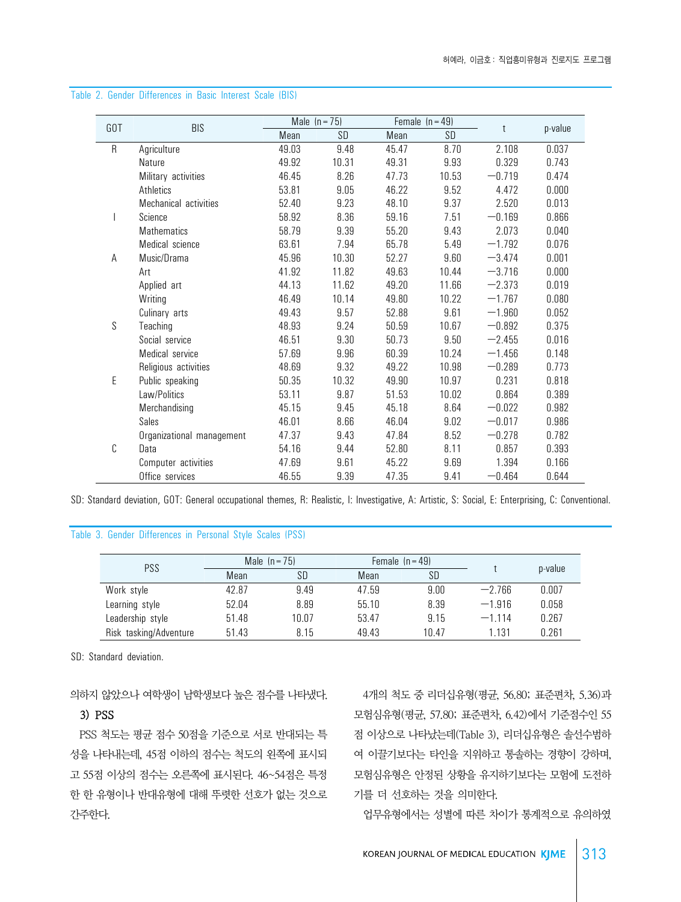|         |                           |       | Male $(n = 75)$ |       | Female $(n = 49)$ |          |         |
|---------|---------------------------|-------|-----------------|-------|-------------------|----------|---------|
| GOT     | <b>BIS</b>                | Mean  | SD              | Mean  | SD                | t        | p-value |
| $\sf R$ | Agriculture               | 49.03 | 9.48            | 45.47 | 8.70              | 2.108    | 0.037   |
|         | Nature                    | 49.92 | 10.31           | 49.31 | 9.93              | 0.329    | 0.743   |
|         | Military activities       | 46.45 | 8.26            | 47.73 | 10.53             | $-0.719$ | 0.474   |
|         | Athletics                 | 53.81 | 9.05            | 46.22 | 9.52              | 4.472    | 0.000   |
|         | Mechanical activities     | 52.40 | 9.23            | 48.10 | 9.37              | 2.520    | 0.013   |
|         | Science                   | 58.92 | 8.36            | 59.16 | 7.51              | $-0.169$ | 0.866   |
|         | Mathematics               | 58.79 | 9.39            | 55.20 | 9.43              | 2.073    | 0.040   |
|         | Medical science           | 63.61 | 7.94            | 65.78 | 5.49              | $-1.792$ | 0.076   |
| A       | Music/Drama               | 45.96 | 10.30           | 52.27 | 9.60              | $-3.474$ | 0.001   |
|         | Art                       | 41.92 | 11.82           | 49.63 | 10.44             | $-3.716$ | 0.000   |
|         | Applied art               | 44.13 | 11.62           | 49.20 | 11.66             | $-2.373$ | 0.019   |
|         | Writing                   | 46.49 | 10.14           | 49.80 | 10.22             | $-1.767$ | 0.080   |
|         | Culinary arts             | 49.43 | 9.57            | 52.88 | 9.61              | $-1.960$ | 0.052   |
| S       | Teaching                  | 48.93 | 9.24            | 50.59 | 10.67             | $-0.892$ | 0.375   |
|         | Social service            | 46.51 | 9.30            | 50.73 | 9.50              | $-2.455$ | 0.016   |
|         | Medical service           | 57.69 | 9.96            | 60.39 | 10.24             | $-1.456$ | 0.148   |
|         | Religious activities      | 48.69 | 9.32            | 49.22 | 10.98             | $-0.289$ | 0.773   |
| E       | Public speaking           | 50.35 | 10.32           | 49.90 | 10.97             | 0.231    | 0.818   |
|         | Law/Politics              | 53.11 | 9.87            | 51.53 | 10.02             | 0.864    | 0.389   |
|         | Merchandising             | 45.15 | 9.45            | 45.18 | 8.64              | $-0.022$ | 0.982   |
|         | Sales                     | 46.01 | 8.66            | 46.04 | 9.02              | $-0.017$ | 0.986   |
|         | Organizational management | 47.37 | 9.43            | 47.84 | 8.52              | $-0.278$ | 0.782   |
| C       | Data                      | 54.16 | 9.44            | 52.80 | 8.11              | 0.857    | 0.393   |
|         | Computer activities       | 47.69 | 9.61            | 45.22 | 9.69              | 1.394    | 0.166   |
|         | Office services           | 46.55 | 9.39            | 47.35 | 9.41              | $-0.464$ | 0.644   |

#### Table 2. Gender Differences in Basic Interest Scale (BIS)

SD: Standard deviation, GOT: General occupational themes, R: Realistic, I: Investigative, A: Artistic, S: Social, E: Enterprising, C: Conventional.

## Table 3. Gender Differences in Personal Style Scales (PSS)

|                        |       | Male $(n = 75)$ |       | Female $(n = 49)$ |          |         |
|------------------------|-------|-----------------|-------|-------------------|----------|---------|
| <b>PSS</b>             | Mean  | SD              | Mean  | <b>SD</b>         |          | p-value |
| Work style             | 42.87 | 9.49            | 47.59 | 9.00              | $-2.766$ | 0.007   |
| Learning style         | 52.04 | 8.89            | 55.10 | 8.39              | $-1.916$ | 0.058   |
| Leadership style       | 51.48 | 10.07           | 53.47 | 9.15              | $-1.114$ | 0.267   |
| Risk tasking/Adventure | 51.43 | 8.15            | 49.43 | 10.47             | 1.131    | 0.261   |

SD: Standard deviation.

의하지 않았으나 여학생이 남학생보다 높은 점수를 나타냈다.

### 3) PSS

 PSS 척도는 평균 점수 50점을 기준으로 서로 반대되는 특 성을 나타내는데, 45점 이하의 점수는 척도의 왼쪽에 표시되 고 55점 이상의 점수는 오른쪽에 표시된다. 46~54점은 특정 한 한 유형이나 반대유형에 대해 뚜렷한 선호가 없는 것으로 간주한다.

 4개의 척도 중 리더십유형(평균, 56.80; 표준편차, 5.36)과 모험심유형(평균, 57.80; 표준편차, 6.42)에서 기준점수인 55 점 이상으로 나타났는데(Table 3), 리더십유형은 솔선수범하 여 이끌기보다는 타인을 지위하고 통솔하는 경향이 강하며, 모험심유형은 안정된 상황을 유지하기보다는 모험에 도전하 기를 더 선호하는 것을 의미한다.

업무유형에서는 성별에 따른 차이가 통계적으로 유의하였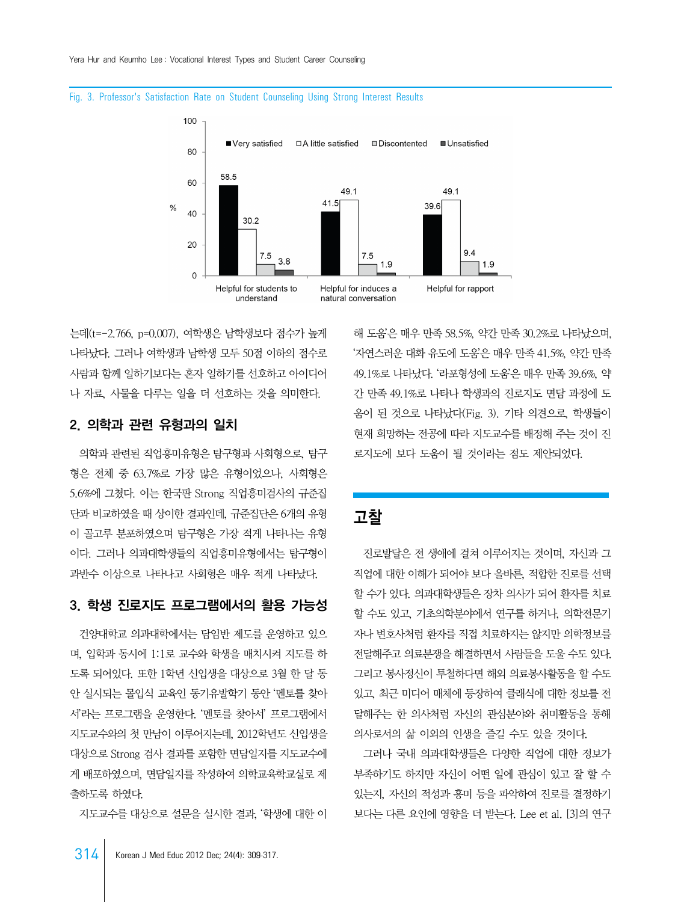

#### Fig. 3. Professor's Satisfaction Rate on Student Counseling Using Strong Interest Results

는데(t=-2.766, p=0.007), 여학생은 남학생보다 점수가 높게 나타났다. 그러나 여학생과 남학생 모두 50점 이하의 점수로 사람과 함께 일하기보다는 혼자 일하기를 선호하고 아이디어 나 자료, 사물을 다루는 일을 더 선호하는 것을 의미한다.

## 2. 의학과 관련 유형과의 일치

 의학과 관련된 직업흥미유형은 탐구형과 사회형으로, 탐구 형은 전체 중 63.7%로 가장 많은 유형이었으나, 사회형은 5.6%에 그쳤다. 이는 한국판 Strong 직업흥미검사의 규준집 단과 비교하였을 때 상이한 결과인데, 규준집단은 6개의 유형 이 골고루 분포하였으며 탐구형은 가장 적게 나타나는 유형 이다. 그러나 의과대학생들의 직업흥미유형에서는 탐구형이 과반수 이상으로 나타나고 사회형은 매우 적게 나타났다.

## 3. 학생 진로지도 프로그램에서의 활용 가능성

 건양대학교 의과대학에서는 담임반 제도를 운영하고 있으 며, 입학과 동시에 1:1로 교수와 학생을 매치시켜 지도를 하 도록 되어있다. 또한 1학년 신입생을 대상으로 3월 한 달 동 안 실시되는 몰입식 교육인 동기유발학기 동안 '멘토를 찾아 서'라는 프로그램을 운영한다. '멘토를 찾아서' 프로그램에서 지도교수와의 첫 만남이 이루어지는데, 2012학년도 신입생을 대상으로 Strong 검사 결과를 포함한 면담일지를 지도교수에 게 배포하였으며, 면담일지를 작성하여 의학교육학교실로 제 출하도록 하였다.

지도교수를 대상으로 설문을 실시한 결과, '학생에 대한 이

해 도움'은 매우 만족 58.5%, 약간 만족 30.2%로 나타났으며, '자연스러운 대화 유도에 도움'은 매우 만족 41.5%, 약간 만족 49.1%로 나타났다. '라포형성에 도움'은 매우 만족 39.6%, 약 간 만족 49.1%로 나타나 학생과의 진로지도 면담 과정에 도 움이 된 것으로 나타났다(Fig. 3). 기타 의견으로, 학생들이 현재 희망하는 전공에 따라 지도교수를 배정해 주는 것이 진 로지도에 보다 도움이 될 것이라는 점도 제안되었다.

# 고참

 진로발달은 전 생애에 걸쳐 이루어지는 것이며, 자신과 그 직업에 대한 이해가 되어야 보다 올바른, 적합한 진로를 선택 할 수가 있다. 의과대학생들은 장차 의사가 되어 환자를 치료 할 수도 있고, 기초의학분야에서 연구를 하거나, 의학전문기 자나 변호사처럼 환자를 직접 치료하지는 않지만 의학정보를 전달해주고 의료분쟁을 해결하면서 사람들을 도울 수도 있다. 그리고 봉사정신이 투철하다면 해외 의료봉사활동을 할 수도 있고, 최근 미디어 매체에 등장하여 클래식에 대한 정보를 전 달해주는 한 의사처럼 자신의 관심분야와 취미활동을 통해 의사로서의 삶 이외의 인생을 즐길 수도 있을 것이다.

 그러나 국내 의과대학생들은 다양한 직업에 대한 정보가 부족하기도 하지만 자신이 어떤 일에 관심이 있고 잘 할 수 있는지, 자신의 적성과 흥미 등을 파악하여 진로를 결정하기 보다는 다른 요인에 영향을 더 받는다. Lee et al. [3]의 연구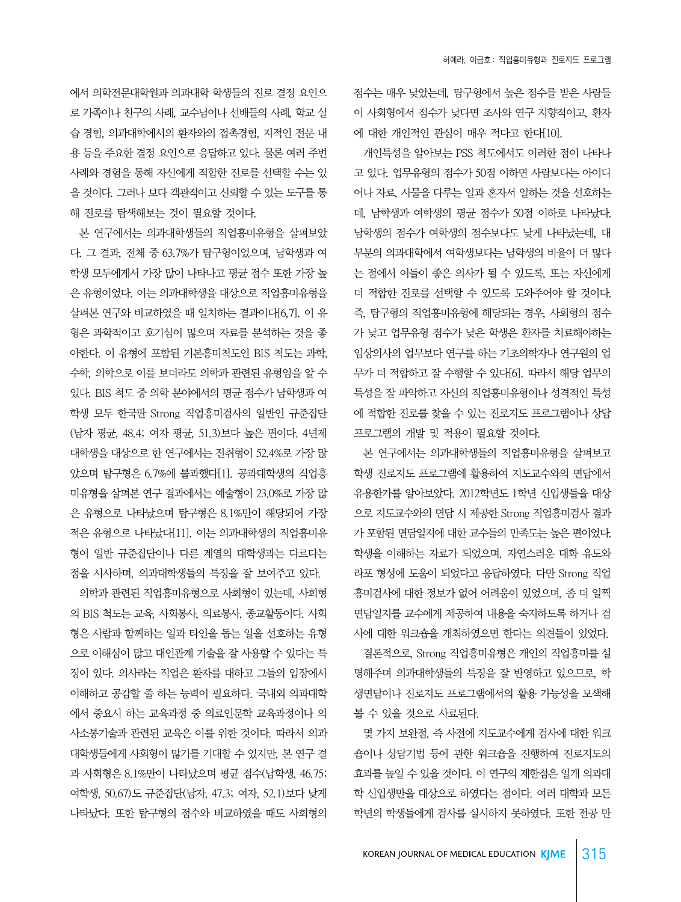에서 의학전문대학원과 의과대학 학생들의 진로 결정 요인으 로 가족이나 친구의 사례, 교수님이나 선배들의 사례, 학교 실 습 경험, 의과대학에서의 환자와의 접촉경험, 지적인 전문 내 용 등을 주요한 결정 요인으로 응답하고 있다. 물론 여러 주변 사례와 경험을 통해 자신에게 적합한 진로를 선택할 수는 있 을 것이다. 그러나 보다 객관적이고 신뢰할 수 있는 도구를 통 해 진로를 탐색해보는 것이 필요할 것이다.

 본 연구에서는 의과대학생들의 직업흥미유형을 살펴보았 다. 그 결과, 전체 중 63.7%가 탐구형이었으며, 남학생과 여 학생 모두에게서 가장 많이 나타나고 평균 점수 또한 가장 높 은 유형이었다. 이는 의과대학생을 대상으로 직업흥미유형을 살펴본 연구와 비교하였을 때 일치하는 결과이다[6,7]. 이 유 형은 과학적이고 호기심이 많으며 자료를 분석하는 것을 좋 아한다. 이 유형에 포함된 기본흥미척도인 BIS 척도는 과학, 수학, 의학으로 이를 보더라도 의학과 관련된 유형임을 알 수 있다. BIS 척도 중 의학 분야에서의 평균 점수가 남학생과 여 학생 모두 한국판 Strong 직업흥미검사의 일반인 규준집단 (남자 평균, 48.4; 여자 평균, 51.3)보다 높은 편이다. 4년제 대학생을 대상으로 한 연구에서는 진취형이 52.4%로 가장 많 았으며 탐구형은 6.7%에 불과했다[1]. 공과대학생의 직업흥 미유형을 살펴본 연구 결과에서는 예술형이 23.0%로 가장 많 은 유형으로 나타났으며 탐구형은 8.1%만이 해당되어 가장 적은 유형으로 나타났다[11]. 이는 의과대학생의 직업흥미유 형이 일반 규준집단이나 다른 계열의 대학생과는 다르다는 점을 시사하며, 의과대학생들의 특징을 잘 보여주고 있다.

 의학과 관련된 직업흥미유형으로 사회형이 있는데, 사회형 의 BIS 척도는 교육, 사회봉사, 의료봉사, 종교활동이다. 사회 형은 사람과 함께하는 일과 타인을 돕는 일을 선호하는 유형 으로 이해심이 많고 대인관계 기술을 잘 사용할 수 있다는 특 징이 있다. 의사라는 직업은 환자를 대하고 그들의 입장에서 이해하고 공감할 줄 하는 능력이 필요하다. 국내외 의과대학 에서 중요시 하는 교육과정 중 의료인문학 교육과정이나 의 사소통기술과 관련된 교육은 이를 위한 것이다. 따라서 의과 대학생들에게 사회형이 많기를 기대할 수 있지만, 본 연구 결 과 사회형은 8.1%만이 나타났으며 평균 점수(남학생, 46.75; 여학생, 50.67)도 규준집단(남자, 47.3; 여자, 52.1)보다 낮게 나타났다. 또한 탐구형의 점수와 비교하였을 때도 사회형의

점수는 매우 낮았는데, 탐구형에서 높은 점수를 받은 사람들 이 사회형에서 점수가 낮다면 조사와 연구 지향적이고, 환자 에 대한 개인적인 관심이 매우 적다고 한다[10].

 개인특성을 알아보는 PSS 척도에서도 이러한 점이 나타나 고 있다. 업무유형의 점수가 50점 이하면 사람보다는 아이디 어나 자료, 사물을 다루는 일과 혼자서 일하는 것을 선호하는 데, 남학생과 여학생의 평균 점수가 50점 이하로 나타났다. 남학생의 점수가 여학생의 점수보다도 낮게 나타났는데, 대 부분의 의과대학에서 여학생보다는 남학생의 비율이 더 많다 는 점에서 이들이 좋은 의사가 될 수 있도록, 또는 자신에게 더 적합한 진로를 선택할 수 있도록 도와주어야 할 것이다. 즉, 탐구형의 직업흥미유형에 해당되는 경우, 사회형의 점수 가 낮고 업무유형 점수가 낮은 학생은 환자를 치료해야하는 임상의사의 업무보다 연구를 하는 기초의학자나 연구원의 업 무가 더 적합하고 잘 수행할 수 있다[6]. 따라서 해당 업무의 특성을 잘 파악하고 자신의 직업흥미유형이나 성격적인 특성 에 적합한 진로를 찾을 수 있는 진로지도 프로그램이나 상담 프로그램의 개발 및 적용이 필요할 것이다.

 본 연구에서는 의과대학생들의 직업흥미유형을 살펴보고 학생 진로지도 프로그램에 활용하여 지도교수와의 면담에서 유용한가를 알아보았다. 2012학년도 1학년 신입생들을 대상 으로 지도교수와의 면담 시 제공한 Strong 직업흥미검사 결과 가 포함된 면담일지에 대한 교수들의 만족도는 높은 편이었다. 학생을 이해하는 자료가 되었으며, 자연스러운 대화 유도와 라포 형성에 도움이 되었다고 응답하였다. 다만 Strong 직업 흥미검사에 대한 정보가 없어 어려움이 있었으며, 좀 더 일찍 면담일지를 교수에게 제공하여 내용을 숙지하도록 하거나 검 사에 대한 워크숍을 개최하였으면 한다는 의견들이 있었다.

 결론적으로, Strong 직업흥미유형은 개인의 직업흥미를 설 명해주며 의과대학생들의 특징을 잘 반영하고 있으므로, 학 생면담이나 진로지도 프로그램에서의 활용 가능성을 모색해 볼 수 있을 것으로 사료된다.

 몇 가지 보완점, 즉 사전에 지도교수에게 검사에 대한 워크 숍이나 상담기법 등에 관한 워크숍을 진행하여 진로지도의 효과를 높일 수 있을 것이다. 이 연구의 제한점은 일개 의과대 학 신입생만을 대상으로 하였다는 점이다. 여러 대학과 모든 학년의 학생들에게 검사를 실시하지 못하였다. 또한 전공 만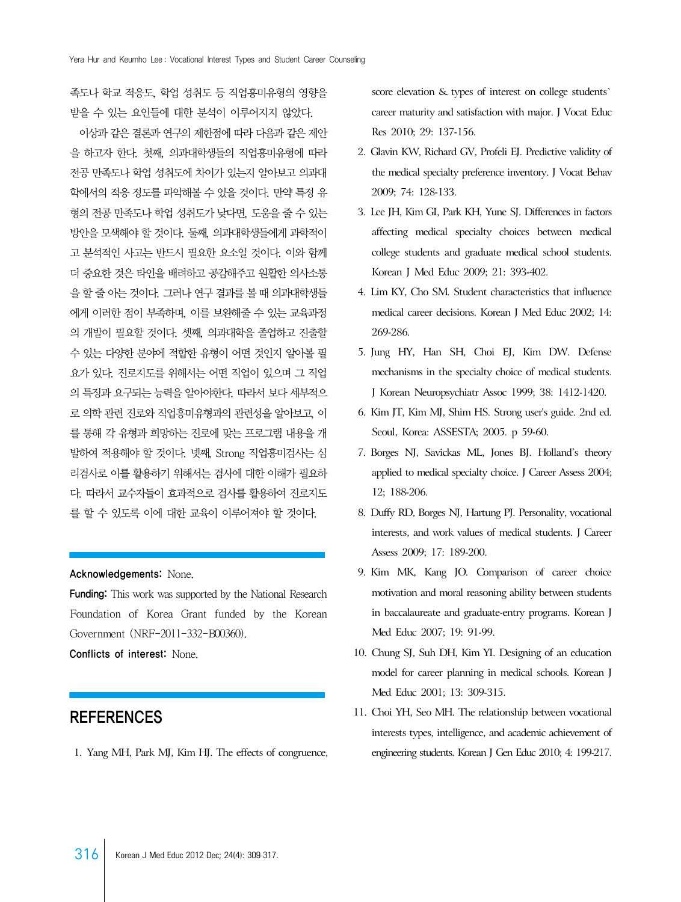족도나 학교 적응도, 학업 성취도 등 직업흥미유형의 영향을 받을 수 있는 요인들에 대한 분석이 이루어지지 않았다.

 이상과 같은 결론과 연구의 제한점에 따라 다음과 같은 제안 을 하고자 한다. 첫째, 의과대학생들의 직업흥미유형에 따라 전공 만족도나 학업 성취도에 차이가 있는지 알아보고 의과대 학에서의 적응 정도를 파악해볼 수 있을 것이다. 만약 특정 유 형의 전공 만족도나 학업 성취도가 낮다면, 도움을 줄 수 있는 방안을 모색해야 할 것이다. 둘째, 의과대학생들에게 과학적이 고 분석적인 사고는 반드시 필요한 요소일 것이다. 이와 함께 더 중요한 것은 타인을 배려하고 공감해주고 원활한 의사소통 을 할 줄 아는 것이다. 그러나 연구 결과를 볼 때 의과대학생들 에게 이러한 점이 부족하며, 이를 보완해줄 수 있는 교육과정 의 개발이 필요할 것이다. 셋째, 의과대학을 졸업하고 진출할 수 있는 다양한 분야에 적합한 유형이 어떤 것인지 알아볼 필 요가 있다. 진로지도를 위해서는 어떤 직업이 있으며 그 직업 의 특징과 요구되는 능력을 알아야한다. 따라서 보다 세부적으 로 의학 관련 진로와 직업흥미유형과의 관련성을 알아보고, 이 를 통해 각 유형과 희망하는 진로에 맞는 프로그램 내용을 개 발하여 적용해야 할 것이다. 넷째, Strong 직업흥미검사는 심 리검사로 이를 활용하기 위해서는 검사에 대한 이해가 필요하 다. 따라서 교수자들이 효과적으로 검사를 활용하여 진로지도 를 할 수 있도록 이에 대한 교육이 이루어져야 할 것이다.

#### Acknowledgements: None.

Funding: This work was supported by the National Research Foundation of Korea Grant funded by the Korean Government (NRF-2011-332-B00360).

Conflicts of interest: None.

# REFERENCES

1. Yang MH, Park MJ, Kim HJ. The effects of congruence,

score elevation & types of interest on college students` career maturity and satisfaction with major. J Vocat Educ Res 2010; 29: 137-156.

- 2. Glavin KW, Richard GV, Profeli EJ. Predictive validity of the medical specialty preference inventory. J Vocat Behav 2009; 74: 128-133.
- 3. Lee JH, Kim GI, Park KH, Yune SJ. Differences in factors affecting medical specialty choices between medical college students and graduate medical school students. Korean J Med Educ 2009; 21: 393-402.
- 4. Lim KY, Cho SM. Student characteristics that influence medical career decisions. Korean J Med Educ 2002; 14: 269-286.
- 5. Jung HY, Han SH, Choi EJ, Kim DW. Defense mechanisms in the specialty choice of medical students. J Korean Neuropsychiatr Assoc 1999; 38: 1412-1420.
- 6. Kim JT, Kim MJ, Shim HS. Strong user's guide. 2nd ed. Seoul, Korea: ASSESTA; 2005. p 59-60.
- 7. Borges NJ, Savickas ML, Jones BJ. Holland's theory applied to medical specialty choice. J Career Assess 2004; 12; 188-206.
- 8. Duffy RD, Borges NJ, Hartung PJ. Personality, vocational interests, and work values of medical students. J Career Assess 2009; 17: 189-200.
- 9. Kim MK, Kang JO. Comparison of career choice motivation and moral reasoning ability between students in baccalaureate and graduate-entry programs. Korean J Med Educ 2007; 19: 91-99.
- 10. Chung SJ, Suh DH, Kim YI. Designing of an education model for career planning in medical schools. Korean J Med Educ 2001; 13: 309-315.
- 11. Choi YH, Seo MH. The relationship between vocational interests types, intelligence, and academic achievement of engineering students. Korean J Gen Educ 2010; 4: 199-217.